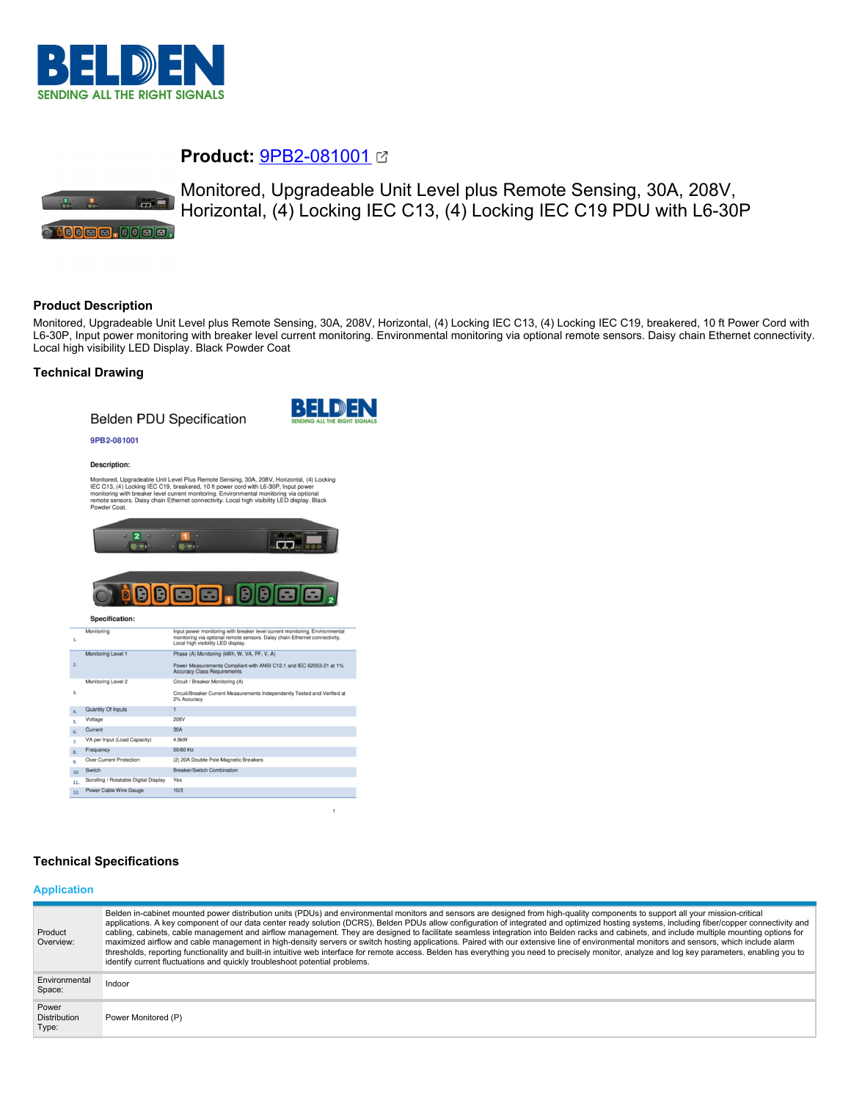

# **Product:** [9PB2-081001](https://catalog.belden.com/index.cfm?event=pd&p=PF_9PB2081001&tab=downloads)



Monitored, Upgradeable Unit Level plus Remote Sensing, 30A, 208V, Horizontal, (4) Locking IEC C13, (4) Locking IEC C19 PDU with L6-30P

## **Product Description**

Monitored, Upgradeable Unit Level plus Remote Sensing, 30A, 208V, Horizontal, (4) Locking IEC C13, (4) Locking IEC C19, breakered, 10 ft Power Cord with L6-30P, Input power monitoring with breaker level current monitoring. Environmental monitoring via optional remote sensors. Daisy chain Ethernet connectivity. Local high visibility LED Display. Black Powder Coat

## **Technical Drawing**

## **Belden PDU Specification**



#### 9PB2-081001

#### Description:

Monitored, Upgradeable Unit Level Plus Remote Sensing, 30A, 208V, Horizontal, (4) Locking<br>IEC C13, (4) Locking IEC C19, breakered, 101 power cord with L6-30P, Input power<br>monitoring with breaker level current monitoring. E



#### **BBEE.** Ð A Specification:

| 1.           |                                       | monitoring via optional remote sensors. Daisy chain Ethernet connectivity.<br>Local high visibility LED display. |
|--------------|---------------------------------------|------------------------------------------------------------------------------------------------------------------|
|              | Monitoring Level 1                    | Phase (A) Monitoring (kWh, W, VA, PF, V, A)                                                                      |
| 2.           |                                       | Power Measurements Compliant with ANSI C12.1 and IEC 62053-21 at 1%<br><b>Accuracy Class Requirements</b>        |
|              | Monitoring Level 2                    | Circuit / Breaker Monitoring (A)                                                                                 |
| 3.           |                                       | Circuit/Breaker Current Measurements Independently Tested and Verified at<br>2% Accuracy                         |
| $\mathbf{A}$ | Quantity Of Inputs                    |                                                                                                                  |
| S.           | Voltage                               | 208V                                                                                                             |
| 6.           | Current                               | 30A                                                                                                              |
| 7.           | VA per Input (Load Capacity)          | 4.9kW                                                                                                            |
| 8.           | Frequency                             | 50/60 Hz                                                                                                         |
| 9.           | <b>Over Current Protection</b>        | (2) 20A Double Pole Magnetic Breakers                                                                            |
| 10.          | Switch                                | Breaker/Switch Combination                                                                                       |
| 11.          | Scrolling / Rotatable Digital Display | Yes                                                                                                              |
| 12.          | Power Cable Wire Gauge                | 10/3                                                                                                             |

## **Technical Specifications**

#### **Application**

| Product<br>Overview:                  | Belden in-cabinet mounted power distribution units (PDUs) and environmental monitors and sensors are designed from high-quality components to support all your mission-critical<br>applications. A key component of our data center ready solution (DCRS), Belden PDUs allow configuration of integrated and optimized hosting systems, including fiber/copper connectivity and<br>cabling, cabinets, cable management and airflow management. They are designed to facilitate seamless integration into Belden racks and cabinets, and include multiple mounting options for<br>maximized airflow and cable management in high-density servers or switch hosting applications. Paired with our extensive line of environmental monitors and sensors, which include alarm<br>thresholds, reporting functionality and built-in intuitive web interface for remote access. Belden has everything you need to precisely monitor, analyze and log key parameters, enabling you to<br>identify current fluctuations and quickly troubleshoot potential problems. |
|---------------------------------------|-------------------------------------------------------------------------------------------------------------------------------------------------------------------------------------------------------------------------------------------------------------------------------------------------------------------------------------------------------------------------------------------------------------------------------------------------------------------------------------------------------------------------------------------------------------------------------------------------------------------------------------------------------------------------------------------------------------------------------------------------------------------------------------------------------------------------------------------------------------------------------------------------------------------------------------------------------------------------------------------------------------------------------------------------------------|
| Environmental<br>Space:               | Indoor                                                                                                                                                                                                                                                                                                                                                                                                                                                                                                                                                                                                                                                                                                                                                                                                                                                                                                                                                                                                                                                      |
| Power<br><b>Distribution</b><br>Type: | Power Monitored (P)                                                                                                                                                                                                                                                                                                                                                                                                                                                                                                                                                                                                                                                                                                                                                                                                                                                                                                                                                                                                                                         |